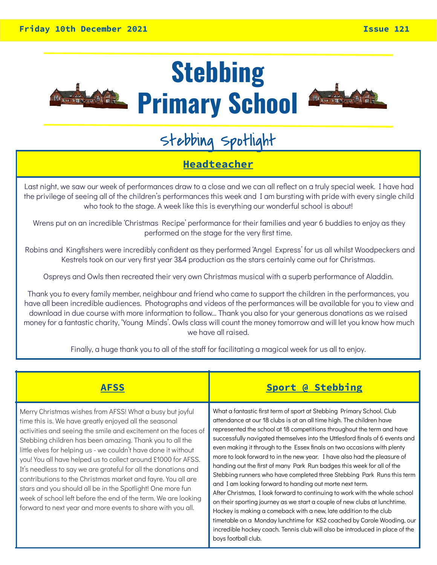

# **Stebbing Primary School**



# Stebbing Spotlight

### **Headteacher**

Last night, we saw our week of performances draw to a close and we can all reflect on a truly special week. I have had the privilege of seeing all of the children's performances this week and I am bursting with pride with every single child who took to the stage. A week like this is everything our wonderful school is about!

Wrens put on an incredible 'Christmas Recipe' performance for their families and year 6 buddies to enjoy as they performed on the stage for the very first time.

Robins and Kingfishers were incredibly confident as they performed 'Angel Express' for us all whilst Woodpeckers and Kestrels took on our very first year 3&4 production as the stars certainly came out for Christmas.

Ospreys and Owls then recreated their very own Christmas musical with a superb performance of Aladdin.

Thank you to every family member, neighbour and friend who came to support the children in the performances, you have all been incredible audiences. Photographs and videos of the performances will be available for you to view and download in due course with more information to follow… Thank you also for your generous donations as we raised money for a fantastic charity, 'Young Minds'. Owls class will count the money tomorrow and will let you know how much we have all raised.

Finally, a huge thank you to all of the staff for facilitating a magical week for us all to enjoy.

| <b>AFSS</b>                                                                                                                                                                                                                                                                                                                                                                                                                                                                                                                                                                                                                                                                                                          | Sport @ Stebbing                                                                                                                                                                                                                                                                                                                                                                                                                                                                                                                                                                                                                                                                                                                                                                                                                                                                                                                                                                                                                                                                                 |
|----------------------------------------------------------------------------------------------------------------------------------------------------------------------------------------------------------------------------------------------------------------------------------------------------------------------------------------------------------------------------------------------------------------------------------------------------------------------------------------------------------------------------------------------------------------------------------------------------------------------------------------------------------------------------------------------------------------------|--------------------------------------------------------------------------------------------------------------------------------------------------------------------------------------------------------------------------------------------------------------------------------------------------------------------------------------------------------------------------------------------------------------------------------------------------------------------------------------------------------------------------------------------------------------------------------------------------------------------------------------------------------------------------------------------------------------------------------------------------------------------------------------------------------------------------------------------------------------------------------------------------------------------------------------------------------------------------------------------------------------------------------------------------------------------------------------------------|
| Merry Christmas wishes from AFSS! What a busy but joyful<br>time this is. We have greatly enjoyed all the seasonal<br>activities and seeing the smile and excitement on the faces of<br>Stebbing children has been amazing. Thank you to all the<br>little elves for helping us - we couldn't have done it without<br>you! You all have helped us to collect around £1000 for AFSS.<br>It's needless to say we are grateful for all the donations and<br>contributions to the Christmas market and fayre. You all are<br>stars and you should all be in the Spotlight! One more fun<br>week of school left before the end of the term. We are looking<br>forward to next year and more events to share with you all. | What a fantastic first term of sport at Stebbing Primary School. Club<br>attendance at our 18 clubs is at an all time high. The children have<br>represented the school at 18 competitions throughout the term and have<br>successfully navigated themselves into the Uttlesford finals of 6 events and<br>even making it through to the Essex finals on two occasions with plenty<br>more to look forward to in the new year. I have also had the pleasure of<br>handing out the first of many Park Run badges this week for all of the<br>Stebbing runners who have completed three Stebbing Park Runs this term<br>and I am looking forward to handing out morte next term.<br>After Christmas, I look forward to continuing to work with the whole school<br>on their sporting journey as we start a couple of new clubs at lunchtime.<br>Hockey is making a comeback with a new, late addition to the club<br>timetable on a Monday lunchtime for KS2 coached by Carole Wooding, our<br>incredible hockey coach. Tennis club will also be introduced in place of the<br>boys football club. |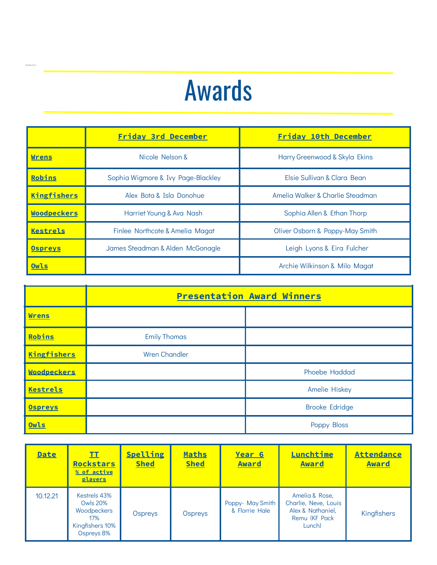# Awards

Woodpeckers

|                    | <b>Friday 3rd December</b>                       | Friday 10th December             |
|--------------------|--------------------------------------------------|----------------------------------|
| <b>Wrens</b>       | Nicole Nelson &<br>Harry Greenwood & Skyla Ekins |                                  |
| Robins             | Sophia Wigmore & Ivy Page-Blackley               | Elsie Sullivan & Clara Bean      |
| <b>Kingfishers</b> | Alex Bota & Isla Donohue                         | Amelia Walker & Charlie Steadman |
| <b>Woodpeckers</b> | Harriet Young & Ava Nash                         | Sophia Allen & Ethan Thorp       |
| Kestrels           | Finlee Northcote & Amelia Magat                  | Oliver Osborn & Poppy-May Smith  |
| <b>Ospreys</b>     | James Steadman & Alden McGonagle                 | Leigh Lyons & Eira Fulcher       |
| Owls               |                                                  | Archie Wilkinson & Milo Magat    |

|                    | <b>Presentation Award Winners</b> |                       |  |
|--------------------|-----------------------------------|-----------------------|--|
| <b>Wrens</b>       |                                   |                       |  |
| Robins             | <b>Emily Thomas</b>               |                       |  |
| <b>Kingfishers</b> | <b>Wren Chandler</b>              |                       |  |
| <b>Woodpeckers</b> |                                   | Phoebe Haddad         |  |
| <b>Kestrels</b>    |                                   | <b>Amelie Hiskey</b>  |  |
| <b>Ospreys</b>     |                                   | <b>Brooke Edridge</b> |  |
| Owls               |                                   | Poppy Bloss           |  |

| <b>Date</b> | II<br><b>Rockstars</b><br>% of active<br>players                                       | <b>Spelling</b><br><b>Shed</b> | Maths<br><b>Shed</b> | Year 6<br><b>Award</b>             | Lunchtime<br><b>Award</b>                                                               | <b>Attendance</b><br><b>Award</b> |
|-------------|----------------------------------------------------------------------------------------|--------------------------------|----------------------|------------------------------------|-----------------------------------------------------------------------------------------|-----------------------------------|
| 10.12.21    | Kestrels 43%<br><b>Owls 20%</b><br>Woodpeckers<br>17%<br>Kingfishers 10%<br>Ospreys 8% | Ospreys                        | Ospreys              | Poppy- May Smith<br>& Florrie Hale | Amelia & Rose,<br>Charlie, Neve, Louis<br>Alex & Nathaniel,<br>Remu (KF Pack)<br>Lunch) | Kingfishers                       |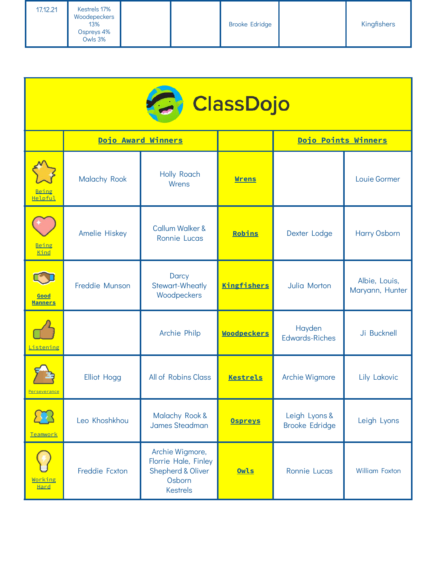| 17.12.21 | Kestrels 17%<br>Woodepeckers<br>13%<br>Ospreys 4%<br>Owls 3% |  | <b>Brooke Edridge</b> | Kingfishers |
|----------|--------------------------------------------------------------|--|-----------------------|-------------|
|          |                                                              |  |                       |             |

| <b>C</b> ClassDojo      |                     |                                                                                                      |                    |                                        |                                  |  |
|-------------------------|---------------------|------------------------------------------------------------------------------------------------------|--------------------|----------------------------------------|----------------------------------|--|
|                         |                     | Dojo Award Winners                                                                                   |                    | Dojo Points Winners                    |                                  |  |
| <u>Being</u><br>Helpful | <b>Malachy Rook</b> | Holly Roach<br>Wrens                                                                                 | <b>Wrens</b>       |                                        | Louie Gormer                     |  |
| Being<br>Kind           | Amelie Hiskey       | <b>Callum Walker &amp;</b><br>Ronnie Lucas                                                           | Robins             | Dexter Lodge                           | <b>Harry Osborn</b>              |  |
| Good<br><b>Manners</b>  | Freddie Munson      | <b>Darcy</b><br><b>Stewart-Wheatly</b><br>Woodpeckers                                                | <b>Kingfishers</b> | Julia Morton                           | Albie, Louis,<br>Maryann, Hunter |  |
| Listening               |                     | Archie Philp                                                                                         | <b>Woodpeckers</b> | Hayden<br><b>Edwards-Riches</b>        | Ji Bucknell                      |  |
| <u>Perseverance</u>     | <b>Elliot Hogg</b>  | All of Robins Class                                                                                  | Kestrels           | <b>Archie Wigmore</b>                  | Lily Lakovic                     |  |
| Teamwork                | Leo Khoshkhou       | Malachy Rook &<br><b>James Steadman</b>                                                              | <b>Ospreys</b>     | Leigh Lyons &<br><b>Brooke Edridge</b> | Leigh Lyons                      |  |
| Working<br>Hard         | Freddie Fcxton      | Archie Wigmore,<br>Florrie Hale, Finley<br><b>Shepherd &amp; Oliver</b><br>Osborn<br><b>Kestrels</b> | Owls               | Ronnie Lucas                           | <b>William Foxton</b>            |  |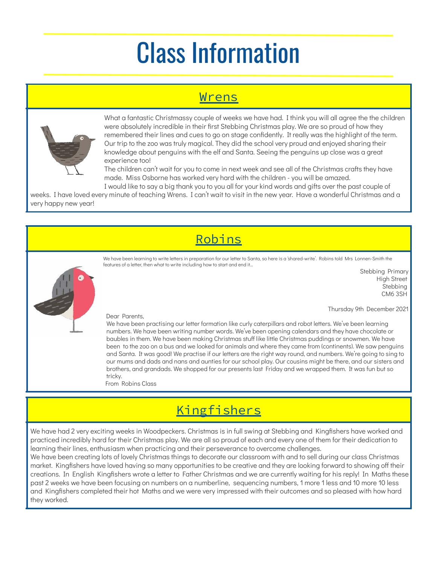# Class Information

### Wrens



What a fantastic Christmassy couple of weeks we have had. I think you will all agree the the children were absolutely incredible in their first Stebbing Christmas play. We are so proud of how they remembered their lines and cues to go on stage confidently. It really was the highlight of the term. Our trip to the zoo was truly magical. They did the school very proud and enjoyed sharing their knowledge about penguins with the elf and Santa. Seeing the penguins up close was a great experience too!

The children can't wait for you to come in next week and see all of the Christmas crafts they have made. Miss Osborne has worked very hard with the children - you will be amazed.

I would like to say a big thank you to you all for your kind words and gifts over the past couple of weeks. I have loved every minute of teaching Wrens. I can't wait to visit in the new year. Have a wonderful Christmas and a very happy new year!

# Robins



We have been learning to write letters in preparation for our letter to Santa, so here is a 'shared-write'. Robins told Mrs Lonnen-Smith the features of a letter, then what to write including how to start and end it…

> Stebbing Primary High Street Stebbing CM6 3SH

Thursday 9th December 2021

#### Dear Parents,

We have been practising our letter formation like curly caterpillars and robot letters. We've been learning numbers. We have been writing number words. We've been opening calendars and they have chocolate or baubles in them. We have been making Christmas stuff like little Christmas puddings or snowmen. We have been to the zoo on a bus and we looked for animals and where they came from (continents). We saw penguins and Santa. It was good! We practise if our letters are the right way round, and numbers. We're going to sing to our mums and dads and nans and aunties for our school play. Our cousins might be there, and our sisters and brothers, and grandads. We shopped for our presents last Friday and we wrapped them. It was fun but so tricky.

From Robins Class

## **Kingfishers**

We have had 2 very exciting weeks in Woodpeckers. Christmas is in full swing at Stebbing and Kingfishers have worked and practiced incredibly hard for their Christmas play. We are all so proud of each and every one of them for their dedication to learning their lines, enthusiasm when practicing and their perseverance to overcome challenges.

We have been creating lots of lovely Christmas things to decorate our classroom with and to sell during our class Christmas market. Kingfishers have loved having so many opportunities to be creative and they are looking forward to showing off their creations. In English Kingfishers wrote a letter to Father Christmas and we are currently waiting for his reply! In Maths these past 2 weeks we have been focusing on numbers on a numberline, sequencing numbers, 1 more 1 less and 10 more 10 less and Kingfishers completed their hot Maths and we were very impressed with their outcomes and so pleased with how hard they worked.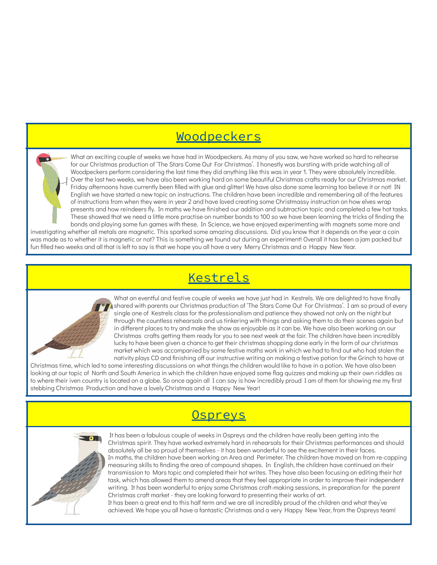### Woodpeckers

What an exciting couple of weeks we have had in Woodpeckers. As many of you saw, we have worked so hard to rehearse for our Christmas production of 'The Stars Come Out For Christmas'. I honestly was bursting with pride watching all of Woodpeckers perform considering the last time they did anything like this was in year 1. They were absolutely incredible. Over the last two weeks, we have also been working hard on some beautiful Christmas crafts ready for our Christmas market. Friday afternoons have currently been filled with glue and glitter! We have also done some learning too believe it or not! IN English we have started a new topic on instructions. The children have been incredible and remembering all of the features of instructions from when they were in year 2 and have loved creating some Christmassy instruction on how elves wrap presents and how reindeers fly. In maths we have finished our addition and subtraction topic and completed a few hot tasks. These showed that we need a little more practise on number bonds to 100 so we have been learning the tricks of finding the bonds and playing some fun games with these. In Science, we have enjoyed experimenting with magnets some more and investigating whether all metals are magnetic. This sparked some amazing discussions. Did you know that it depends on the year a coin was made as to whether it is magnetic or not? This is something we found out during an experiment! Overall it has been a jam packed but fun filled two weeks and all that is left to say is that we hope you all have a very Merry Christmas and a Happy New Year.

## **Kestrels**



What an eventful and festive couple of weeks we have just had in Kestrels. We are delighted to have finally shared with parents our Christmas production of 'The Stars Come Out For Christmas'. I am so proud of every single one of Kestrels class for the professionalism and patience they showed not only on the night but through the countless rehearsals and us tinkering with things and asking them to do their scenes again but in different places to try and make the show as enjoyable as it can be. We have also been working on our Christmas crafts getting them ready for you to see next week at the fair. The children have been incredibly lucky to have been given a chance to get their christmas shopping done early in the form of our christmas market which was accompanied by some festive maths work in which we had to find out who had stolen the nativity plays CD and finishing off our instructive writing on making a festive potion for the Grinch to have at

Christmas time, which led to some interesting discussions on what things the children would like to have in a potion. We have also been looking at our topic of North and South America in which the children have enjoyed some flag quizzes and making up their own riddles as to where their iven country is located on a globe. So once again all I can say is how incredibly proud I am of them for showing me my first stebbing Christmas Production and have a lovely Christmas and a Happy New Year!

### **Ospreys**



It has been a fabulous couple of weeks in Ospreys and the children have really been getting into the Christmas spirit. They have worked extremely hard in rehearsals for their Christmas performances and should absolutely all be so proud of themselves - it has been wonderful to see the excitement in their faces. In maths, the children have been working on Area and Perimeter. The children have moved on from re-capping measuring skills to finding the area of compound shapes. In English, the children have continued on their transmission to Mars topic and completed their hot writes. They have also been focusing on editing their hot task, which has allowed them to amend areas that they feel appropriate in order to improve their independent writing. It has been wonderful to enjoy some Christmas craft-making sessions, in preparation for the parent Christmas craft market - they are looking forward to presenting their works of art.

It has been a great end to this half term and we are all incredibly proud of the children and what they've achieved. We hope you all have a fantastic Christmas and a very Happy New Year, from the Ospreys team!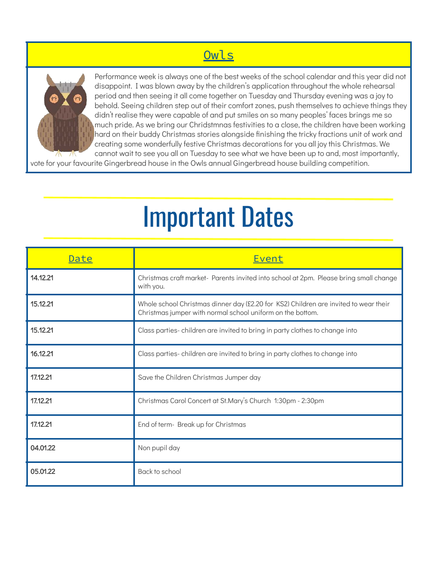## Owls



Performance week is always one of the best weeks of the school calendar and this year did not disappoint. I was blown away by the children's application throughout the whole rehearsal period and then seeing it all come together on Tuesday and Thursday evening was a joy to behold. Seeing children step out of their comfort zones, push themselves to achieve things they didn't realise they were capable of and put smiles on so many peoples' faces brings me so much pride. As we bring our Chridstmnas festivities to a close, the children have been working hard on their buddy Christmas stories alongside finishing the tricky fractions unit of work and creating some wonderfully festive Christmas decorations for you all joy this Christmas. We cannot wait to see you all on Tuesday to see what we have been up to and, most importantly,

vote for your favourite Gingerbread house in the Owls annual Gingerbread house building competition.

# Important Dates

| Date     | Event                                                                                                                                              |
|----------|----------------------------------------------------------------------------------------------------------------------------------------------------|
| 14.12.21 | Christmas craft market- Parents invited into school at 2pm. Please bring small change<br>with you.                                                 |
| 15.12.21 | Whole school Christmas dinner day (£2.20 for KS2) Children are invited to wear their<br>Christmas jumper with normal school uniform on the bottom. |
| 15.12.21 | Class parties-children are invited to bring in party clothes to change into                                                                        |
| 16.12.21 | Class parties-children are invited to bring in party clothes to change into                                                                        |
| 17.12.21 | Save the Children Christmas Jumper day                                                                                                             |
| 17.12.21 | Christmas Carol Concert at St.Mary's Church 1:30pm - 2:30pm                                                                                        |
| 17.12.21 | End of term- Break up for Christmas                                                                                                                |
| 04.01.22 | Non pupil day                                                                                                                                      |
| 05.01.22 | Back to school                                                                                                                                     |